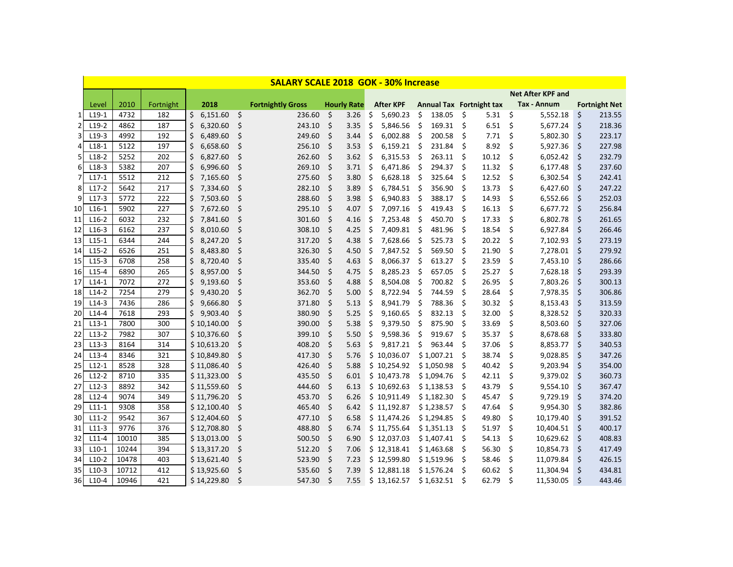|                 | <b>SALARY SCALE 2018 GOK - 30% Increase</b> |       |           |    |             |                    |                          |         |                    |    |                  |     |                                 |                    |       |     |                          |    |                      |
|-----------------|---------------------------------------------|-------|-----------|----|-------------|--------------------|--------------------------|---------|--------------------|----|------------------|-----|---------------------------------|--------------------|-------|-----|--------------------------|----|----------------------|
|                 |                                             |       |           |    |             |                    |                          |         |                    |    |                  |     |                                 |                    |       |     | <b>Net After KPF and</b> |    |                      |
|                 | Level                                       | 2010  | Fortnight |    | 2018        |                    | <b>Fortnightly Gross</b> |         | <b>Hourly Rate</b> |    | <b>After KPF</b> |     | <b>Annual Tax Fortnight tax</b> |                    |       |     | Tax - Annum              |    | <b>Fortnight Net</b> |
| $\mathbf{1}$    | $L19-1$                                     | 4732  | 182       | \$ | 6,151.60    | $\mathsf{\dot{S}}$ | 236.60                   | \$      | 3.26               | \$ | 5,690.23         | \$  | 138.05                          | \$                 | 5.31  | \$  | 5,552.18                 | \$ | 213.55               |
| 2               | $L19-2$                                     | 4862  | 187       | \$ | 6,320.60    | $\zeta$            | 243.10                   | \$      | 3.35               | \$ | 5,846.56         | \$  | 169.31                          | \$                 | 6.51  | \$  | 5,677.24                 | \$ | 218.36               |
| 3               | $L19-3$                                     | 4992  | 192       | \$ | 6,489.60    | S.                 | 249.60                   | \$      | 3.44               | \$ | 6,002.88         | Ś.  | 200.58                          | \$                 | 7.71  | \$  | 5,802.30                 | \$ | 223.17               |
| 4               | $L18-1$                                     | 5122  | 197       | \$ | 6,658.60    | $\zeta$            | 256.10                   | \$      | 3.53               | \$ | 6,159.21         | \$  | 231.84                          | \$                 | 8.92  | \$  | 5,927.36                 | \$ | 227.98               |
| 5               | $L18-2$                                     | 5252  | 202       | \$ | 6,827.60    | $\zeta$            | 262.60                   | \$      | 3.62               | \$ | 6,315.53         | \$  | 263.11                          | $\ddot{\varsigma}$ | 10.12 | \$  | 6,052.42                 | \$ | 232.79               |
| 6               | $L18-3$                                     | 5382  | 207       | Ś  | 6,996.60    | \$                 | 269.10                   | $\zeta$ | 3.71               | \$ | 6,471.86         | \$  | 294.37                          | \$                 | 11.32 | \$  | 6,177.48                 | \$ | 237.60               |
| 7               | $L17-1$                                     | 5512  | 212       | \$ | 7,165.60    | \$                 | 275.60                   | $\zeta$ | 3.80               | \$ | 6,628.18         | \$  | 325.64                          | \$                 | 12.52 | \$  | 6,302.54                 | \$ | 242.41               |
| 8               | $L17-2$                                     | 5642  | 217       | \$ | 7,334.60    | \$                 | 282.10                   | \$      | 3.89               | \$ | 6,784.51         | -\$ | 356.90                          | \$                 | 13.73 | \$  | 6,427.60                 | \$ | 247.22               |
| 9               | $L17-3$                                     | 5772  | 222       | \$ | 7,503.60    | \$                 | 288.60                   | \$      | 3.98               | \$ | 6,940.83         | \$  | 388.17                          | Ŝ.                 | 14.93 | \$  | 6,552.66                 | \$ | 252.03               |
| 10 <sup>1</sup> | $L16-1$                                     | 5902  | 227       | \$ | 7,672.60    | \$                 | 295.10                   | \$      | 4.07               | \$ | 7,097.16         | \$  | 419.43                          | \$                 | 16.13 | \$  | 6,677.72                 | \$ | 256.84               |
| 11              | $L16-2$                                     | 6032  | 232       | \$ | 7,841.60    | \$                 | 301.60                   | \$      | 4.16               | \$ | 7,253.48         | Ŝ.  | 450.70                          | \$                 | 17.33 | \$  | 6,802.78                 | \$ | 261.65               |
| 12              | $L16-3$                                     | 6162  | 237       | \$ | 8,010.60    | \$                 | 308.10                   | \$      | 4.25               | \$ | 7,409.81         | \$  | 481.96                          | \$                 | 18.54 | \$  | 6,927.84                 | \$ | 266.46               |
| 13              | $L15-1$                                     | 6344  | 244       | \$ | 8,247.20    | $\zeta$            | 317.20                   | $\zeta$ | 4.38               | \$ | 7,628.66         | \$  | 525.73                          | \$                 | 20.22 | \$  | 7,102.93                 | \$ | 273.19               |
| 14              | $L15-2$                                     | 6526  | 251       | \$ | 8,483.80    | $\zeta$            | 326.30                   | \$      | 4.50               | \$ | 7,847.52 \$      |     | 569.50                          | \$                 | 21.90 | \$  | 7,278.01                 | \$ | 279.92               |
| 15              | $L15-3$                                     | 6708  | 258       | \$ | 8,720.40    | \$                 | 335.40                   | \$      | 4.63               | \$ | 8,066.37         | \$  | 613.27                          | \$                 | 23.59 | \$  | 7,453.10                 | \$ | 286.66               |
| 16              | $L15-4$                                     | 6890  | 265       | \$ | 8,957.00    | \$                 | 344.50                   | $\zeta$ | 4.75               | \$ | 8,285.23         | \$  | 657.05                          | \$                 | 25.27 | \$  | 7,628.18                 | \$ | 293.39               |
| 17              | $L14-1$                                     | 7072  | 272       | \$ | 9,193.60    | \$                 | 353.60                   | \$      | 4.88               | \$ | 8,504.08         | \$  | 700.82                          | \$                 | 26.95 | \$  | 7,803.26                 | \$ | 300.13               |
| <b>18</b>       | $L14-2$                                     | 7254  | 279       | \$ | 9,430.20    | \$                 | 362.70                   | \$      | 5.00               | \$ | 8,722.94         | \$  | 744.59                          | \$                 | 28.64 | \$  | 7,978.35                 | \$ | 306.86               |
| 19              | $L14-3$                                     | 7436  | 286       | \$ | 9,666.80    | $\zeta$            | 371.80                   | $\zeta$ | 5.13               | \$ | 8,941.79         | \$  | 788.36                          | \$                 | 30.32 | \$  | 8,153.43                 | \$ | 313.59               |
| 20              | $L14-4$                                     | 7618  | 293       | \$ | 9,903.40    | $\zeta$            | 380.90                   | \$      | 5.25               | \$ | 9,160.65         | \$  | 832.13                          | \$                 | 32.00 | \$  | 8,328.52                 | \$ | 320.33               |
| 21              | $L13-1$                                     | 7800  | 300       |    | \$10,140.00 | \$                 | 390.00                   | \$      | 5.38               | \$ | 9,379.50         | \$  | 875.90                          | \$                 | 33.69 | \$  | 8,503.60                 | \$ | 327.06               |
| 22              | $L13-2$                                     | 7982  | 307       |    | \$10,376.60 | $\zeta$            | 399.10                   | $\zeta$ | 5.50               | \$ | 9,598.36         | \$  | 919.67                          | \$                 | 35.37 | \$  | 8,678.68                 | \$ | 333.80               |
| 23              | $L13-3$                                     | 8164  | 314       |    | \$10,613.20 | $\zeta$            | 408.20                   | \$      | 5.63               | \$ | 9,817.21         | \$  | 963.44                          | \$                 | 37.06 | \$  | 8,853.77                 | \$ | 340.53               |
| 24              | $L13-4$                                     | 8346  | 321       |    | \$10,849.80 | \$                 | 417.30                   | \$      | 5.76               |    | \$10,036.07      |     | \$1,007.21                      | \$                 | 38.74 | \$  | 9,028.85                 | \$ | 347.26               |
| 25              | $L12-1$                                     | 8528  | 328       |    | \$11,086.40 | $\zeta$            | 426.40                   | $\zeta$ | 5.88               |    | \$10,254.92      |     | \$1,050.98                      | \$                 | 40.42 | \$  | 9,203.94                 | \$ | 354.00               |
| 26              | $L12-2$                                     | 8710  | 335       |    | \$11,323.00 | \$                 | 435.50                   | \$      | 6.01               |    | \$10,473.78      |     | \$1,094.76                      | \$                 | 42.11 | \$  | 9,379.02                 | \$ | 360.73               |
| 27              | $L12-3$                                     | 8892  | 342       |    | \$11,559.60 | \$                 | 444.60                   | \$      | 6.13               |    | \$10,692.63      |     | \$1,138.53                      | \$                 | 43.79 | \$  | 9,554.10                 | \$ | 367.47               |
| 28              | $L12-4$                                     | 9074  | 349       |    | \$11,796.20 | \$                 | 453.70                   | \$      | 6.26               |    | \$10,911.49      |     | \$1,182.30                      | \$                 | 45.47 | \$  | 9,729.19                 | \$ | 374.20               |
| 29              | $L11-1$                                     | 9308  | 358       |    | \$12,100.40 | \$                 | 465.40                   | \$      | 6.42               |    | \$11,192.87      |     | \$1,238.57                      | \$                 | 47.64 | \$  | 9,954.30                 | \$ | 382.86               |
| 30              | $L11-2$                                     | 9542  | 367       |    | \$12,404.60 | \$                 | 477.10                   | \$      | 6.58               |    | \$11,474.26      |     | \$1,294.85                      | \$                 | 49.80 | \$  | 10,179.40                | \$ | 391.52               |
| 31              | $L11-3$                                     | 9776  | 376       |    | \$12,708.80 | \$                 | 488.80                   | \$      | 6.74               |    | \$11,755.64      |     | \$1,351.13                      | \$                 | 51.97 | \$  | 10,404.51                | \$ | 400.17               |
| 32              | $L11-4$                                     | 10010 | 385       |    | \$13,013.00 | \$                 | 500.50                   | \$      | 6.90               |    | \$12,037.03      |     | \$1,407.41                      | \$                 | 54.13 | \$  | 10,629.62                | \$ | 408.83               |
| 33              | $L10-1$                                     | 10244 | 394       |    | \$13,317.20 | \$                 | 512.20                   | \$      | 7.06               |    | \$12,318.41      |     | \$1,463.68                      | \$                 | 56.30 | \$  | 10,854.73                | \$ | 417.49               |
| 34              | $L10-2$                                     | 10478 | 403       |    | \$13,621.40 | \$                 | 523.90                   | \$      | 7.23               |    | \$12,599.80      |     | \$1,519.96                      | \$                 | 58.46 | \$  | 11,079.84                | \$ | 426.15               |
| 35              | $L10-3$                                     | 10712 | 412       |    | \$13,925.60 | \$                 | 535.60                   | \$      | 7.39               |    | \$12,881.18      |     | \$1,576.24                      | \$                 | 60.62 | \$  | 11,304.94                | \$ | 434.81               |
| 36 I            | $L10-4$                                     | 10946 | 421       |    | \$14,229.80 | \$                 | 547.30                   | \$      | 7.55               |    | \$13,162.57      |     | \$1,632.51                      | \$                 | 62.79 | -\$ | 11,530.05                | \$ | 443.46               |